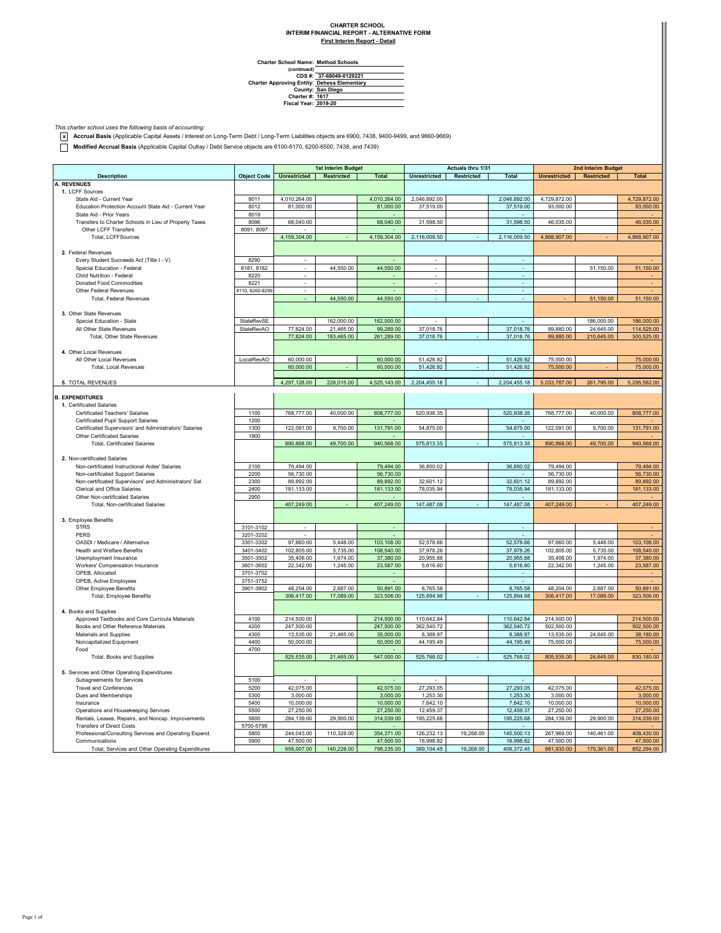## **CHARTER SCHOOL INTERIM FINANCIAL REPORT - ALTERNATIVE FORM**

**First Interim Report - Detail**

| <b>Charter School Name: Method Schools</b> |  |  |
|--------------------------------------------|--|--|
|                                            |  |  |
| CDS #: 37-68049-0129221                    |  |  |
|                                            |  |  |

**CDS #: Charter Approving Entity: County: Dehesa Elementary San Diego Charter #: Fiscal Year: 1617 2019-20**

*This charter school uses the following basis of accounting:* **x Accrual Basis** (Applicable Capital Assets / Interest on Long-Term Debt / Long-Term Liabilities objects are 6900, 7438, 9400-9499, and 9660-9669)

**Modified Accrual Basis** (Applicable Capital Outlay / Debt Service objects are 6100-6170, 6200-6500, 7438, and 7439)

|                                                        |                    | 1st Interim Budget       |            | Actuals thru 1/31       |                          |            | 2nd Interim Budget       |                     |                   |              |
|--------------------------------------------------------|--------------------|--------------------------|------------|-------------------------|--------------------------|------------|--------------------------|---------------------|-------------------|--------------|
| <b>Description</b>                                     | <b>Object Code</b> | <b>Unrestricted</b>      | Restricted | <b>Total</b>            | <b>Unrestricted</b>      | Restricted | <b>Total</b>             | <b>Unrestricted</b> | <b>Restricted</b> | <b>Total</b> |
| <b>A. REVENUES</b>                                     |                    |                          |            |                         |                          |            |                          |                     |                   |              |
| 1. LCFF Sources                                        |                    |                          |            |                         |                          |            |                          |                     |                   |              |
| State Aid - Current Year                               | 8011               | 4,010,264.00             |            | 4,010,264.00            | 2,046,892.00             |            | 2,046,892.00             | 4,729,872.00        |                   | 4,729,872.00 |
| Education Protection Account State Aid - Current Year  | 8012               | 81,000.00                |            | 81,000.00               | 37,519.00                |            | 37,519.00                | 93,000.00           |                   | 93,000.00    |
| State Aid - Prior Years                                | 8019               |                          |            |                         |                          |            |                          |                     |                   |              |
| Transfers to Charter Schools in Lieu of Property Taxes | 8096               | 68,040.00                |            | 68,040.00               | 31,598.50                |            | 31,598.50                | 46,035.00           |                   | 46,035.00    |
| Other LCFF Transfers                                   | 8091, 8097         |                          |            |                         |                          |            |                          |                     |                   |              |
| Total, LCFFSources                                     |                    | 4,159,304.00             |            | 4,159,304.00            | 2,116,009.50             |            | 2,116,009.50             | 4,868,907.00        |                   | 4,868,907.00 |
|                                                        |                    |                          |            |                         |                          |            |                          |                     |                   |              |
| 2. Federal Revenues                                    |                    |                          |            |                         |                          |            |                          |                     |                   |              |
|                                                        | 8290               | $\epsilon$               |            |                         | $\overline{\phantom{a}}$ |            | $\epsilon$               |                     |                   |              |
| Every Student Succeeds Act (Title I - V)               |                    |                          |            |                         |                          |            |                          |                     |                   |              |
| Special Education - Federal                            | 8181, 8182         | $\overline{\phantom{a}}$ | 44,550.00  | 44,550.00               | $\overline{\phantom{a}}$ |            | $\sim$                   |                     | 51,150.00         | 51,150.00    |
| Child Nutrition - Federal                              | 8220               | $\overline{\phantom{a}}$ |            |                         | $\overline{\phantom{a}}$ |            | $\overline{\phantom{a}}$ |                     |                   |              |
| Donated Food Commodities                               | 8221               | $\overline{\phantom{a}}$ |            |                         | ٠                        |            | ٠                        |                     |                   |              |
| Other Federal Revenues                                 | 8110, 8260-8299    | $\sim$                   |            |                         |                          |            | ٠                        |                     |                   |              |
| <b>Total, Federal Revenues</b>                         |                    |                          | 44,550.00  | 44,550.00               |                          |            |                          |                     | 51,150.00         | 51,150.00    |
|                                                        |                    |                          |            |                         |                          |            |                          |                     |                   |              |
| 3. Other State Revenues                                |                    |                          |            |                         |                          |            |                          |                     |                   |              |
| Special Education - State                              | StateRevSE         |                          | 162,000.00 | 162,000.00              |                          |            |                          |                     | 186,000.00        | 186,000.00   |
| All Other State Revenues                               | StateRevAO         | 77,824.00                | 21,465.00  | 99,289.00               | 37,018.76                |            | 37,018.76                | 89,880.00           | 24,645.00         | 114,525.00   |
| Total, Other State Revenues                            |                    | 77,824.00                | 183,465.00 | 261,289.00              | 37,018.76                |            | 37,018.76                | 89,880.00           | 210,645.00        | 300,525.00   |
|                                                        |                    |                          |            |                         |                          |            |                          |                     |                   |              |
| 4. Other Local Revenues                                |                    |                          |            |                         |                          |            |                          |                     |                   |              |
| All Other Local Revenues                               | LocalRevAO         | 60,000.00                |            | 60,000.00               | 51,426.92                |            | 51,426.92                | 75,000.00           |                   | 75,000.00    |
| <b>Total, Local Revenues</b>                           |                    | 60,000.00                |            | 60,000.00               | 51,426.92                |            | 51,426.92                | 75,000.00           |                   | 75,000.00    |
|                                                        |                    |                          |            |                         |                          |            |                          |                     |                   |              |
| 5. TOTAL REVENUES                                      |                    | 4,297,128.00             | 228,015.00 | 4,525,143.00            | 2,204,455.18             |            | 2,204,455.18             | 5,033,787.00        | 261,795.00        | 5,295,582.00 |
|                                                        |                    |                          |            |                         |                          |            |                          |                     |                   |              |
| <b>B. EXPENDITURES</b>                                 |                    |                          |            |                         |                          |            |                          |                     |                   |              |
| 1. Certificated Salaries                               |                    |                          |            |                         |                          |            |                          |                     |                   |              |
| Certificated Teachers' Salaries                        | 1100               | 768,777.00               | 40,000.00  | 808,777.00              | 520,938.35               |            | 520,938.35               | 768,777.00          | 40,000.00         | 808,777.00   |
| Certificated Pupil Support Salaries                    | 1200               |                          |            |                         |                          |            |                          |                     |                   |              |
| Certificated Supervisors' and Administrators' Salaries | 1300               | 122,091.00               | 9,700.00   | 131,791.00              | 54,875.00                |            | 54.875.00                | 122,091.00          | 9,700.00          | 131,791.00   |
| Other Certificated Salaries                            | 1900               |                          |            |                         |                          |            |                          |                     |                   |              |
| <b>Total, Certificated Salaries</b>                    |                    | 890,868.00               | 49,700.00  | 940,568.00              | 575,813.35               |            | 575,813.35               | 890,868.00          | 49,700.00         | 940,568.00   |
|                                                        |                    |                          |            |                         |                          |            |                          |                     |                   |              |
| 2. Non-certificated Salaries                           |                    |                          |            |                         |                          |            |                          |                     |                   |              |
| Non-certificated Instructional Aides' Salaries         | 2100               | 79,494.00                |            | 79,494.00               | 36,850.02                |            | 36,850.02                | 79,494.00           |                   | 79,494.00    |
| Non-certificated Support Salaries                      | 2200               | 56,730.00                |            | 56,730.00               |                          |            |                          | 56,730.00           |                   | 56,730.00    |
| Non-certificated Supervisors' and Administrators' Sal. | 2300               | 89,892.00                |            | 89,892.00               | 32,601.12                |            | 32,601.12                | 89,892.00           |                   | 89,892.00    |
| Clerical and Office Salaries                           | 2400               | 181,133.00               |            | 181,133.00              | 78,035.94                |            | 78,035.94                | 181,133.00          |                   | 181,133.00   |
| Other Non-certificated Salaries                        | 2900               |                          |            |                         |                          |            |                          |                     |                   |              |
| Total, Non-certificated Salaries                       |                    | 407,249.00               |            | 407,249.00              | 147,487.08               |            | 147,487.08               | 407,249.00          |                   | 407,249.00   |
|                                                        |                    |                          |            |                         |                          |            |                          |                     |                   |              |
| 3. Employee Benefits                                   |                    |                          |            |                         |                          |            |                          |                     |                   |              |
| <b>STRS</b>                                            | 3101-3102          |                          |            |                         |                          |            |                          |                     |                   |              |
| PERS                                                   | 3201-3202          |                          |            |                         |                          |            |                          |                     |                   |              |
| OASDI / Medicare / Alternative                         | 3301-3302          | 97,660.00                | 5,448.00   | 103,108.00              | 52,578.66                |            | 52,578.66                | 97,660.00           | 5,448.00          | 103,108.00   |
| Health and Welfare Benefits                            | 3401-3402          | 102,805.00               | 5,735.00   | 108,540.00              | 37,978.26                |            | 37,978.26                | 102,805.00          | 5,735.00          | 108,540.00   |
| Unemployment Insurance                                 | 3501-3502          | 35,406.00                | 1,974.00   | 37,380.00               | 20,955.88                |            | 20,955.88                | 35,406.00           | 1,974.00          | 37,380.00    |
| Workers' Compensation Insurance                        | 3601-3602          | 22,342.00                | 1,245.00   | 23,587.00               | 5,616.60                 |            | 5,616.60                 | 22,342.00           | 1,245.00          | 23,587.00    |
| OPFB. Allocated                                        | 3701-3702          |                          |            |                         |                          |            |                          |                     |                   |              |
| OPEB, Active Employees                                 | 3751-3752          |                          |            |                         |                          |            |                          |                     |                   |              |
| Other Employee Benefits                                | 3901-3902          | 48,204.00                | 2,687.00   | 50,891.00               | 8,765.58                 |            | 8,765.58                 | 48,204.00           | 2,687.00          | 50,891.00    |
| Total, Employee Benefits                               |                    | 306,417.00               | 17,089.00  | 323,506.00              | 125,894.98               |            | 125,894.98               | 306,417.00          | 17,089.00         | 323,506.00   |
|                                                        |                    |                          |            |                         |                          |            |                          |                     |                   |              |
| 4. Books and Supplies                                  |                    |                          |            |                         |                          |            |                          |                     |                   |              |
| Approved Textbooks and Core Curricula Materials        | 4100               | 214,500.00               |            | 214,500.00              | 110,642.84               |            | 110,642.84               | 214,500.00          |                   | 214,500.00   |
| Books and Other Reference Materials                    | 4200               | 247,500.00               |            |                         | 362,540.72               |            | 362,540.72               | 502,500.00          |                   | 502,500.00   |
| Materials and Supplies                                 | 4300               | 13,535.00                | 21,465.00  | 247,500.00<br>35,000.00 | 8,388.97                 |            | 8,388.97                 | 13,535.00           | 24,645.00         | 38,180.00    |
|                                                        |                    |                          |            |                         |                          |            |                          |                     |                   |              |
| Noncapitalized Equipment                               | 4400<br>4700       | 50,000.00                |            | 50,000.00               | 44,195.49                |            | 44,195.49                | 75,000.00           |                   | 75,000.00    |
| Food<br>Total, Books and Supplies                      |                    | 525,535.00               | 21,465.00  | 547,000.00              | 525,768.02               |            | 525,768.02               | 805,535.00          | 24,645.00         | 830,180.00   |
|                                                        |                    |                          |            |                         |                          |            |                          |                     |                   |              |
| 5. Services and Other Operating Expenditures           |                    |                          |            |                         |                          |            |                          |                     |                   |              |
|                                                        | 5100               |                          |            |                         |                          |            |                          |                     |                   |              |
| Subagreements for Services                             | 5200               |                          |            | 42,075.00               | 27,293.05                |            |                          |                     |                   | 42,075.00    |
| <b>Travel and Conferences</b>                          |                    | 42,075.00                |            |                         |                          |            | 27,293.05                | 42,075.00           |                   |              |
| Dues and Memberships                                   | 5300               | 3,000.00                 |            | 3,000.00                | 1,253.30                 |            | 1,253.30                 | 3.000.00            |                   | 3,000.00     |
| Insurance                                              | 5400               | 10,000.00                |            | 10,000.00               | 7,642.10                 |            | 7,642.10                 | 10,000.00           |                   | 10,000.00    |
| Operations and Housekeeping Services                   | 5500               | 27,250.00                |            | 27,250.00               | 12,459.37                |            | 12,459.37                | 27,250.00           |                   | 27,250.00    |
| Rentals, Leases, Repairs, and Noncap. Improvements     | 5600               | 284,139.00               | 29,900.00  | 314,039.00              | 195,225.68               |            | 195,225.68               | 284,139.00          | 29,900.00         | 314,039.00   |
| <b>Transfers of Direct Costs</b>                       | 5700-5799          |                          |            |                         |                          |            |                          |                     |                   |              |
| Professional/Consulting Services and Operating Expend. | 5800               | 244,043.00               | 110,328.00 | 354,371.00              | 126,232.13               | 19,268.00  | 145,500.13               | 267,969.00          | 140,461.00        | 408,430.00   |
| Communications                                         | 5900               | 47.500.00                |            | 47,500.00               | 18,998.82                |            | 18.998.82                | 47,500.00           |                   | 47,500.00    |
| Total, Services and Other Operating Expenditures       |                    | 658,007.00               | 140,228.00 | 798,235.00              | 389.104.45               | 19,268.00  | 408,372.45               | 681,933.00          | 170,361.00        | 852,294.00   |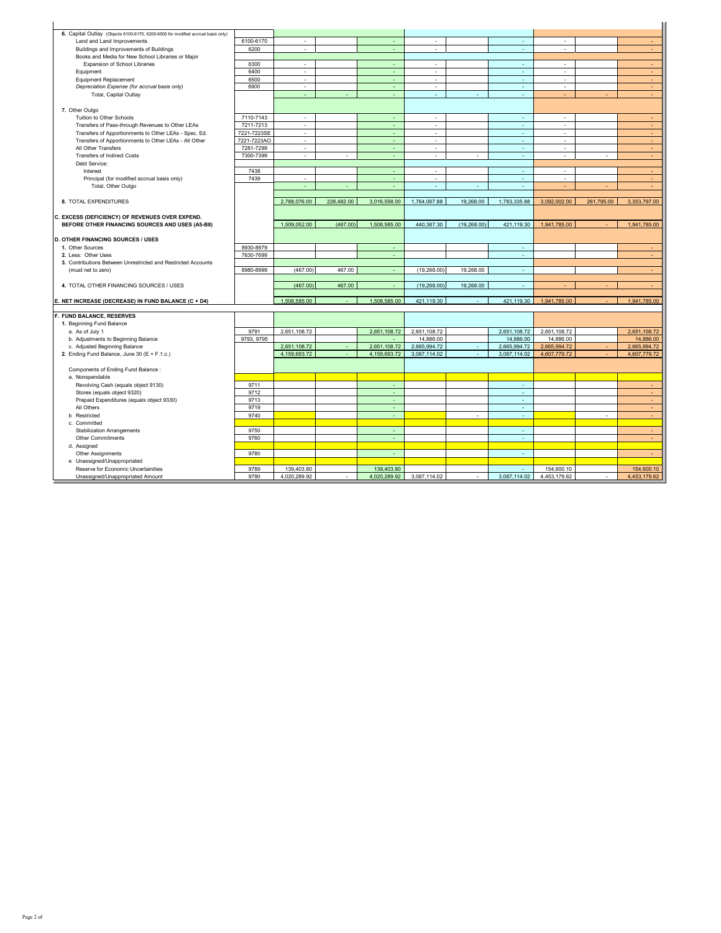| 6. Capital Outlay (Objects 6100-6170, 6200-6500 for modified accrual basis only) |             |                             |            |              |                             |             |              |              |            |              |
|----------------------------------------------------------------------------------|-------------|-----------------------------|------------|--------------|-----------------------------|-------------|--------------|--------------|------------|--------------|
| Land and Land Improvements                                                       | 6100-6170   | $\mathcal{L}_{\mathcal{A}}$ |            |              | ×                           |             | ٠            | ٠            |            | $\sim$       |
| Buildings and Improvements of Buildings                                          | 6200        | $\mathcal{L}$               |            | ÷.           | ÷.                          |             | ä,           | ×.           |            | $\sim$       |
| Books and Media for New School Libraries or Major                                |             |                             |            |              |                             |             |              |              |            |              |
| Expansion of School Libraries                                                    | 6300        | ×.                          |            | ÷            | $\sim$                      |             | ÷.           | ×            |            | $\sim$       |
| Equipment                                                                        | 6400        | $\mathcal{L}$               |            | ÷            | $\epsilon$                  |             | $\omega$     | $\epsilon$   |            | ÷.           |
| Equipment Replacement                                                            | 6500        | $\epsilon$                  |            | $\sim$       | $\sim$                      |             | ×            | $\sim$       |            | $\sim$       |
| Depreciation Expense (for accrual basis only)                                    | 6900        | ٠                           |            | ÷            | $\overline{\phantom{a}}$    |             | ×,           | ٠            |            | ÷.           |
| Total, Capital Outlay                                                            |             | ä,                          |            | ÷            | ×,                          | ÷           | ÷.           | ÷            | ÷.         | $\sim$       |
|                                                                                  |             |                             |            |              |                             |             |              |              |            |              |
| 7. Other Outgo                                                                   |             |                             |            |              |                             |             |              |              |            |              |
| Tuition to Other Schools                                                         | 7110-7143   | ٠                           |            | ÷.           | ٠                           |             | ÷.           | ٠            |            | $\sim$       |
| Transfers of Pass-through Revenues to Other LEAs                                 | 7211-7213   | $\overline{\phantom{a}}$    |            | ÷.           | $\overline{\phantom{a}}$    |             | $\omega$     | ٠            |            | $\sim$       |
| Transfers of Apportionments to Other LEAs - Spec. Ed.                            | 7221-7223SE | ä,                          |            |              | ×.                          |             | ä,           |              |            | ÷.           |
| Transfers of Apportionments to Other LEAs - All Other                            | 7221-7223AO | $\sim$                      |            | ÷            | $\sim$                      |             | ×            | ٠            |            | ÷.           |
| All Other Transfers                                                              | 7281-7299   | $\mathbf{r}$                |            | ÷.           | $\mathcal{L}^{\mathcal{L}}$ |             | ÷.           | ×.           |            | $\sim$       |
| <b>Transfers of Indirect Costs</b>                                               | 7300-7399   | $\sim$                      | i.         | ÷            | ÷.                          | ÷           | $\omega$     | $\sim$       | ×          | $\sim$       |
| Debt Service:                                                                    |             |                             |            |              |                             |             |              |              |            |              |
| Interest                                                                         | 7438        |                             |            | $\sim$       | ×,                          |             | ×            | ×            |            | $\sim$       |
| Principal (for modified accrual basis only)                                      | 7439        | ×.                          |            | $\sim$       | $\sim$                      |             | $\omega$     | ×.           |            | ×.           |
| Total, Other Outgo                                                               |             |                             |            |              |                             |             |              |              |            |              |
|                                                                                  |             |                             |            |              |                             |             |              |              |            |              |
| 8. TOTAL EXPENDITURES                                                            |             | 2,788,076.00                | 228,482.00 | 3,016,558.00 | 1,764,067.88                | 19,268.00   | 1,783,335.88 | 3,092,002.00 | 261,795.00 | 3,353,797.00 |
|                                                                                  |             |                             |            |              |                             |             |              |              |            |              |
| C. EXCESS (DEFICIENCY) OF REVENUES OVER EXPEND.                                  |             |                             |            |              |                             |             |              |              |            |              |
| BEFORE OTHER FINANCING SOURCES AND USES (A5-B8)                                  |             | 1.509.052.00                | (467.00)   | 1.508.585.00 | 440.387.30                  | (19.268.00) | 421.119.30   | 1.941.785.00 |            | 1.941.785.00 |
|                                                                                  |             |                             |            |              |                             |             |              |              |            |              |
| <b>D. OTHER FINANCING SOURCES / USES</b>                                         |             |                             |            |              |                             |             |              |              |            |              |
| 1. Other Sources                                                                 | 8930-8979   |                             |            | ÷.           |                             |             | ÷            |              |            |              |
| 2. Less: Other Uses                                                              | 7630-7699   |                             |            | ÷            |                             |             | $\sim$       |              |            | $\sim$       |
| 3. Contributions Between Unrestricted and Restricted Accounts                    |             |                             |            |              |                             |             |              |              |            |              |
| (must net to zero)                                                               | 8980-8999   | (467.00)                    | 467.00     | ÷            | (19, 268.00)                | 19,268.00   | ×            |              |            | ÷            |
|                                                                                  |             |                             |            |              |                             |             |              |              |            |              |
| 4. TOTAL OTHER FINANCING SOURCES / USES                                          |             | (467.00)                    | 467.00     |              | (19, 268.00)                | 19,268.00   | ÷            |              |            |              |
| E. NET INCREASE (DECREASE) IN FUND BALANCE (C + D4)                              |             | 1,508,585.00                |            | 1,508,585.00 | 421,119.30                  |             | 421,119.30   | 1,941,785.00 |            | 1,941,785.00 |
|                                                                                  |             |                             |            |              |                             |             |              |              |            |              |
| F. FUND BALANCE, RESERVES                                                        |             |                             |            |              |                             |             |              |              |            |              |
| 1. Beginning Fund Balance                                                        |             |                             |            |              |                             |             |              |              |            |              |
| a. As of July 1                                                                  | 9791        | 2,651,108.72                |            | 2,651,108.72 | 2,651,108.72                |             | 2,651,108.72 | 2,651,108.72 |            | 2,651,108.72 |
| b. Adjustments to Beginning Balance                                              | 9793, 9795  |                             |            | $\sim$       | 14,886.00                   |             | 14,886.00    | 14,886.00    |            | 14,886.00    |
| c. Adjusted Beginning Balance                                                    |             | 2,651,108.72                |            | 2.651.108.72 | 2,665,994.72                |             | 2.665.994.72 | 2.665.994.72 |            | 2.665.994.72 |
| 2. Ending Fund Balance, June 30 (E + F.1.c.)                                     |             | 4,159,693.72                |            | 4,159,693.72 | 3,087,114.02                | $\sim$      | 3,087,114.02 | 4,607,779.72 |            | 4,607,779.72 |
|                                                                                  |             |                             |            |              |                             |             |              |              |            |              |
| Components of Ending Fund Balance :                                              |             |                             |            |              |                             |             |              |              |            |              |
| a. Nonspendable                                                                  |             |                             |            |              |                             |             |              |              |            |              |
| Revolving Cash (equals object 9130)                                              | 9711        |                             |            | ÷            |                             |             | ÷.           |              |            | $\sim$       |
| Stores (equals object 9320)                                                      | 9712        |                             |            | ÷.           |                             |             | ÷.           |              |            | $\omega$     |
| Prepaid Expenditures (equals object 9330)                                        | 9713        |                             |            |              |                             |             | ٠            |              |            | $\sim$       |
| All Others                                                                       | 9719        |                             |            | ÷.           |                             |             | ÷.           |              |            | $\omega$ .   |
| <b>b</b> Restricted                                                              | 9740        |                             |            | ÷.           |                             | ٠           | ÷.           |              | ×,         | ÷.           |
| c. Committed                                                                     |             |                             |            |              |                             |             |              |              |            |              |
| <b>Stabilization Arrangements</b>                                                | 9750        |                             |            |              |                             |             | ٠            |              |            | ٠            |
| Other Commitments                                                                | 9760        |                             |            |              |                             |             | ÷            |              |            | $\sim$       |
| d. Assigned                                                                      |             |                             |            |              |                             |             |              |              |            |              |
| Other Assignments                                                                | 9780        |                             |            | $\sim$       |                             |             | $\sim$       |              |            | $\sim$       |
| e Unassigned/Unappropriated                                                      |             |                             |            |              |                             |             |              |              |            |              |
|                                                                                  |             |                             |            |              |                             |             |              |              |            |              |
| Reserve for Economic Uncertainities                                              | 9789        | 139.403.80                  |            | 139,403.80   |                             |             | ×            | 154,600.10   |            | 154,600.10   |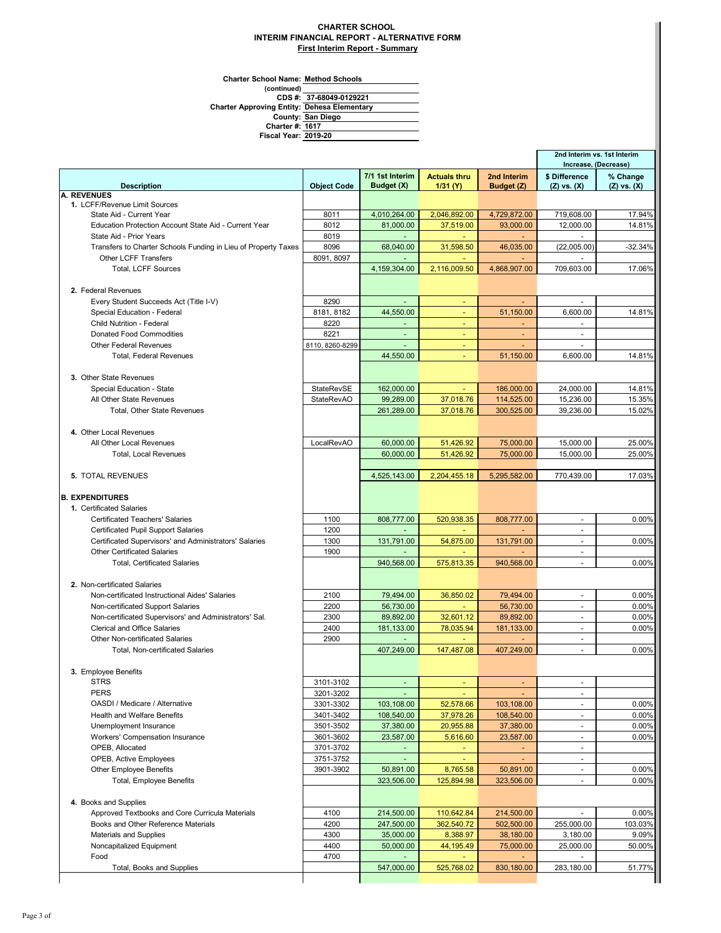## **CHARTER SCHOOL INTERIM FINANCIAL REPORT - ALTERNATIVE FORM First Interim Report - Summary**

**Charter School Name: Method Schools**

**Fiscal Year:**

**(continued) County: Charter #: Charter Approving Entity: CDS #: 37-68049-0129221 1617 San Diego Dehesa Elementary**

**2019-20**

|                                                                |                    |                               |                                 |                           |                                  | 2nd Interim vs. 1st Interim<br>Increase, (Decrease) |
|----------------------------------------------------------------|--------------------|-------------------------------|---------------------------------|---------------------------|----------------------------------|-----------------------------------------------------|
| <b>Description</b>                                             | <b>Object Code</b> | 7/1 1st Interim<br>Budget (X) | <b>Actuals thru</b><br>1/31 (Y) | 2nd Interim<br>Budget (Z) | \$ Difference<br>$(Z)$ vs. $(X)$ | % Change<br>$(Z)$ vs. $(X)$                         |
| <b>A. REVENUES</b>                                             |                    |                               |                                 |                           |                                  |                                                     |
| 1. LCFF/Revenue Limit Sources                                  |                    |                               |                                 |                           |                                  |                                                     |
| State Aid - Current Year                                       | 8011               | 4,010,264.00                  | 2,046,892.00                    | 4,729,872.00              | 719,608.00                       | 17.94%                                              |
| Education Protection Account State Aid - Current Year          | 8012               | 81,000.00                     | 37,519.00                       | 93,000.00                 | 12.000.00                        | 14.81%                                              |
| State Aid - Prior Years                                        | 8019               |                               | $\sim$                          | $\sim$                    | $\sim$                           |                                                     |
| Transfers to Charter Schools Funding in Lieu of Property Taxes | 8096               | 68,040.00                     | 31,598.50                       | 46,035.00                 | (22,005.00)                      | -32.34%                                             |
| Other LCFF Transfers                                           | 8091, 8097         | $\sim$                        |                                 |                           | $\sim$                           |                                                     |
| <b>Total, LCFF Sources</b>                                     |                    | 4,159,304.00                  | 2,116,009.50                    | 4,868,907.00              | 709,603.00                       | 17.06%                                              |
|                                                                |                    |                               |                                 |                           |                                  |                                                     |
| 2. Federal Revenues                                            |                    |                               |                                 |                           |                                  |                                                     |
| Every Student Succeeds Act (Title I-V)                         | 8290               |                               |                                 |                           |                                  |                                                     |
| Special Education - Federal                                    | 8181, 8182         | 44,550.00                     |                                 | 51,150.00                 | 6,600.00                         | 14.81%                                              |
| <b>Child Nutrition - Federal</b>                               | 8220               |                               | $\blacksquare$                  | $\blacksquare$            |                                  |                                                     |
| <b>Donated Food Commodities</b>                                | 8221               | $\blacksquare$                | ٠                               | $\overline{\phantom{a}}$  | $\sim$                           |                                                     |
| <b>Other Federal Revenues</b>                                  | 8110, 8260-8299    | $\omega$                      | ÷                               | ٠                         | $\sim$                           |                                                     |
| <b>Total, Federal Revenues</b>                                 |                    | 44,550.00                     | $\overline{\phantom{a}}$        | 51,150.00                 | 6,600.00                         | 14.81%                                              |
|                                                                |                    |                               |                                 |                           |                                  |                                                     |
| 3. Other State Revenues                                        |                    |                               |                                 |                           |                                  |                                                     |
| Special Education - State                                      | <b>StateRevSE</b>  | 162,000.00                    | $\omega$                        | 186,000.00                | 24.000.00                        | 14.81%                                              |
| All Other State Revenues                                       | <b>StateRevAO</b>  | 99,289.00                     | 37,018.76                       | 114,525.00                | 15,236.00                        | 15.35%                                              |
| Total, Other State Revenues                                    |                    | 261,289.00                    | 37,018.76                       | 300,525.00                | 39,236.00                        | 15.02%                                              |
|                                                                |                    |                               |                                 |                           |                                  |                                                     |
| 4. Other Local Revenues                                        |                    |                               |                                 |                           |                                  |                                                     |
| All Other Local Revenues                                       | LocalRevAO         | 60,000.00                     | 51,426.92                       | 75,000.00                 | 15,000.00                        | 25.00%                                              |
| <b>Total, Local Revenues</b>                                   |                    | 60,000.00                     | 51,426.92                       | 75,000.00                 | 15,000.00                        | 25.00%                                              |
|                                                                |                    |                               |                                 |                           |                                  |                                                     |
| <b>5. TOTAL REVENUES</b>                                       |                    | 4,525,143.00                  | 2,204,455.18                    | 5,295,582.00              | 770,439.00                       | 17.03%                                              |
|                                                                |                    |                               |                                 |                           |                                  |                                                     |
| <b>B. EXPENDITURES</b>                                         |                    |                               |                                 |                           |                                  |                                                     |
| 1. Certificated Salaries                                       |                    |                               |                                 |                           |                                  |                                                     |
| <b>Certificated Teachers' Salaries</b>                         | 1100               | 808,777.00                    | 520,938.35                      | 808,777.00                | $\tilde{\phantom{a}}$            | 0.00%                                               |
| <b>Certificated Pupil Support Salaries</b>                     | 1200               |                               |                                 |                           |                                  |                                                     |
| Certificated Supervisors' and Administrators' Salaries         | 1300               | 131,791.00                    | 54,875.00                       | 131,791.00                | $\overline{a}$                   | 0.00%                                               |
| <b>Other Certificated Salaries</b>                             | 1900               |                               |                                 |                           | $\sim$                           |                                                     |
| <b>Total, Certificated Salaries</b>                            |                    | 940,568.00                    | 575,813.35                      | 940,568.00                | ÷.                               | 0.00%                                               |
|                                                                |                    |                               |                                 |                           |                                  |                                                     |
| 2. Non-certificated Salaries                                   |                    |                               |                                 |                           |                                  |                                                     |
| Non-certificated Instructional Aides' Salaries                 | 2100               | 79,494.00                     | 36,850.02                       | 79,494.00                 |                                  | 0.00%                                               |
| Non-certificated Support Salaries                              | 2200               | 56,730.00                     |                                 | 56,730.00                 | $\overline{\phantom{a}}$         | 0.00%                                               |
| Non-certificated Supervisors' and Administrators' Sal.         | 2300               | 89,892.00                     | 32,601.12                       | 89,892.00                 | $\overline{\phantom{a}}$         | 0.00%                                               |
| <b>Clerical and Office Salaries</b>                            | 2400               | 181,133.00                    | 78,035.94                       | 181,133.00                | $\sim$                           | 0.00%                                               |
| Other Non-certificated Salaries                                | 2900               | $\overline{\phantom{a}}$      | ÷                               | ٠                         | $\blacksquare$                   |                                                     |
| Total, Non-certificated Salaries                               |                    | 407,249.00                    | 147,487.08                      | 407.249.00                | $\mathcal{L}$                    | 0.00%                                               |
|                                                                |                    |                               |                                 |                           |                                  |                                                     |
| 3. Employee Benefits<br><b>STRS</b>                            | 3101-3102          | $\blacksquare$                |                                 |                           | $\blacksquare$                   |                                                     |
| <b>PERS</b>                                                    | 3201-3202          |                               | $\overline{\phantom{a}}$        | $\overline{\phantom{a}}$  |                                  |                                                     |
| OASDI / Medicare / Alternative                                 | 3301-3302          |                               |                                 |                           |                                  | 0.00%                                               |
| <b>Health and Welfare Benefits</b>                             |                    | 103,108.00                    | 52,578.66                       | 103,108.00                | $\overline{\phantom{a}}$         |                                                     |
|                                                                | 3401-3402          | 108,540.00                    | 37,978.26                       | 108,540.00                |                                  | 0.00%                                               |
| Unemployment Insurance                                         | 3501-3502          | 37,380.00                     | 20,955.88                       | 37,380.00                 | $\overline{\phantom{a}}$         | 0.00%                                               |
| Workers' Compensation Insurance                                | 3601-3602          | 23,587.00                     | 5,616.60                        | 23,587.00                 | $\blacksquare$                   | 0.00%                                               |
| OPEB, Allocated                                                | 3701-3702          | $\blacksquare$                | $\sim$                          | $\omega$                  | $\overline{\phantom{a}}$         |                                                     |
| OPEB, Active Employees                                         | 3751-3752          |                               | $\blacksquare$                  |                           | $\overline{\phantom{a}}$         |                                                     |
| <b>Other Employee Benefits</b>                                 | 3901-3902          | 50,891.00                     | 8,765.58                        | 50,891.00                 | $\sim$                           | 0.00%                                               |
| Total, Employee Benefits                                       |                    | 323,506.00                    | 125,894.98                      | 323,506.00                | $\blacksquare$                   | 0.00%                                               |
|                                                                |                    |                               |                                 |                           |                                  |                                                     |
| 4. Books and Supplies                                          |                    |                               |                                 |                           |                                  |                                                     |
| Approved Textbooks and Core Curricula Materials                | 4100               | 214,500.00                    | 110,642.84                      | 214,500.00                |                                  | 0.00%                                               |
| Books and Other Reference Materials                            | 4200               | 247,500.00                    | 362,540.72                      | 502,500.00                | 255,000.00                       | 103.03%                                             |
| Materials and Supplies                                         | 4300               | 35,000.00                     | 8,388.97                        | 38,180.00                 | 3,180.00                         | 9.09%                                               |
| Noncapitalized Equipment                                       | 4400               | 50,000.00                     | 44,195.49                       | 75,000.00                 | 25,000.00                        | 50.00%                                              |
| Food                                                           | 4700               |                               |                                 |                           |                                  |                                                     |
| Total, Books and Supplies                                      |                    | 547,000.00                    | 525,768.02                      | 830,180.00                | 283,180.00                       | 51.77%                                              |
|                                                                |                    |                               |                                 |                           |                                  |                                                     |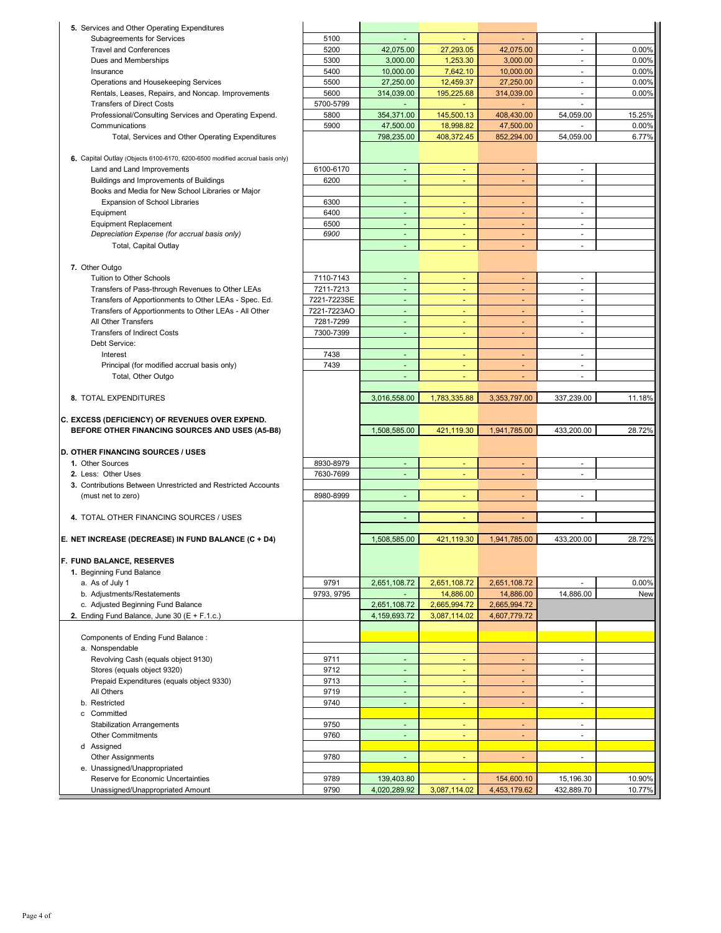| 5. Services and Other Operating Expenditures                                 |              |                              |                              |                              |                          |                  |
|------------------------------------------------------------------------------|--------------|------------------------------|------------------------------|------------------------------|--------------------------|------------------|
| Subagreements for Services                                                   | 5100         |                              |                              |                              | ä,                       |                  |
| <b>Travel and Conferences</b>                                                | 5200         | 42,075.00                    | 27,293.05                    | 42.075.00                    | ä,                       | 0.00%            |
| Dues and Memberships                                                         | 5300         | 3.000.00                     | 1,253.30                     | 3,000.00                     | ۰                        | 0.00%            |
| Insurance                                                                    | 5400         | 10,000.00                    | 7,642.10                     | 10,000.00                    | $\blacksquare$           | 0.00%            |
| Operations and Housekeeping Services                                         | 5500         | 27,250.00                    | 12,459.37                    | 27,250.00                    | $\blacksquare$           | 0.00%            |
| Rentals, Leases, Repairs, and Noncap. Improvements                           | 5600         | 314,039.00                   | 195,225.68                   | 314,039.00                   | $\blacksquare$           | 0.00%            |
| <b>Transfers of Direct Costs</b>                                             | 5700-5799    | $\omega$                     | ÷                            |                              | ä,                       |                  |
| Professional/Consulting Services and Operating Expend.                       | 5800         | 354,371.00                   | 145,500.13                   | 408,430.00                   | 54,059.00                | 15.25%           |
| Communications                                                               | 5900         | 47,500.00                    | 18,998.82                    | 47,500.00                    |                          | 0.00%            |
| Total, Services and Other Operating Expenditures                             |              | 798,235.00                   | 408,372.45                   | 852,294.00                   | 54,059.00                | 6.77%            |
|                                                                              |              |                              |                              |                              |                          |                  |
| 6. Capital Outlay (Objects 6100-6170, 6200-6500 modified accrual basis only) |              |                              |                              |                              |                          |                  |
| Land and Land Improvements                                                   | 6100-6170    | $\omega$                     | $\blacksquare$               | $\blacksquare$               | ä,                       |                  |
| Buildings and Improvements of Buildings                                      | 6200         | ÷,                           |                              |                              |                          |                  |
| Books and Media for New School Libraries or Major                            |              |                              |                              |                              |                          |                  |
| Expansion of School Libraries                                                | 6300         | $\blacksquare$               | ٠                            | ٠                            | $\sim$                   |                  |
| Equipment                                                                    | 6400         | $\blacksquare$               | $\blacksquare$               | ٠                            | $\overline{\phantom{a}}$ |                  |
| <b>Equipment Replacement</b>                                                 | 6500         | $\blacksquare$               | $\overline{\phantom{a}}$     | $\blacksquare$               | $\overline{\phantom{a}}$ |                  |
| Depreciation Expense (for accrual basis only)                                | 6900         | $\blacksquare$               | $\blacksquare$               | $\blacksquare$               | $\overline{\phantom{a}}$ |                  |
| Total, Capital Outlay                                                        |              |                              |                              | $\blacksquare$               | ä,                       |                  |
| 7. Other Outgo                                                               |              |                              |                              |                              |                          |                  |
| Tuition to Other Schools                                                     | 7110-7143    | $\blacksquare$               | ٠                            | $\overline{\phantom{a}}$     | $\ddot{\phantom{1}}$     |                  |
| Transfers of Pass-through Revenues to Other LEAs                             | 7211-7213    | ä,                           |                              | $\qquad \qquad \blacksquare$ | ä,                       |                  |
| Transfers of Apportionments to Other LEAs - Spec. Ed.                        | 7221-7223SE  | $\blacksquare$               | ٠                            |                              | $\blacksquare$           |                  |
| Transfers of Apportionments to Other LEAs - All Other                        | 7221-7223AO  | $\blacksquare$               | $\blacksquare$               | $\blacksquare$               | ä,                       |                  |
| All Other Transfers                                                          | 7281-7299    | $\overline{\phantom{a}}$     | ٠                            | ٠                            | $\blacksquare$           |                  |
| <b>Transfers of Indirect Costs</b>                                           | 7300-7399    | $\blacksquare$               | $\blacksquare$               | ٠                            | ٠                        |                  |
| Debt Service:                                                                |              |                              |                              |                              |                          |                  |
| Interest                                                                     | 7438         | $\blacksquare$               | $\overline{\phantom{a}}$     | $\blacksquare$               | $\overline{\phantom{a}}$ |                  |
| Principal (for modified accrual basis only)                                  | 7439         | $\blacksquare$               | ä,                           | $\overline{\phantom{a}}$     | $\blacksquare$           |                  |
| Total, Other Outgo                                                           |              | $\omega$                     |                              | $\blacksquare$               | ä,                       |                  |
|                                                                              |              |                              |                              |                              |                          |                  |
| 8. TOTAL EXPENDITURES                                                        |              | 3,016,558.00                 | 1,783,335.88                 | 3,353,797.00                 | 337,239.00               | 11.18%           |
|                                                                              |              |                              |                              |                              |                          |                  |
|                                                                              |              |                              |                              |                              |                          |                  |
| C. EXCESS (DEFICIENCY) OF REVENUES OVER EXPEND.                              |              |                              |                              |                              |                          |                  |
| BEFORE OTHER FINANCING SOURCES AND USES (A5-B8)                              |              | 1,508,585.00                 | 421,119.30                   | 1,941,785.00                 | 433,200.00               | 28.72%           |
|                                                                              |              |                              |                              |                              |                          |                  |
| D. OTHER FINANCING SOURCES / USES<br>1. Other Sources                        | 8930-8979    | $\overline{\phantom{a}}$     |                              | ٠                            | ٠                        |                  |
| 2. Less: Other Uses                                                          | 7630-7699    | $\sim$                       | ٠                            | $\overline{\phantom{a}}$     | $\overline{a}$           |                  |
| 3. Contributions Between Unrestricted and Restricted Accounts                |              |                              |                              |                              |                          |                  |
| (must net to zero)                                                           | 8980-8999    | $\blacksquare$               | Ξ                            | $\blacksquare$               | $\blacksquare$           |                  |
|                                                                              |              |                              |                              |                              |                          |                  |
| 4. TOTAL OTHER FINANCING SOURCES / USES                                      |              | ä,                           |                              | $\blacksquare$               | ÷,                       |                  |
|                                                                              |              |                              |                              |                              |                          |                  |
| E. NET INCREASE (DECREASE) IN FUND BALANCE (C + D4)                          |              | 1,508,585.00                 | 421,119.30                   | 1,941,785.00                 | 433,200.00               | 28.72%           |
|                                                                              |              |                              |                              |                              |                          |                  |
| F. FUND BALANCE, RESERVES                                                    |              |                              |                              |                              |                          |                  |
| 1. Beginning Fund Balance                                                    |              |                              |                              |                              |                          |                  |
| a. As of July 1                                                              | 9791         | 2,651,108.72                 | 2,651,108.72                 | 2,651,108.72                 |                          | 0.00%            |
| b. Adjustments/Restatements                                                  | 9793, 9795   | $\blacksquare$               | 14,886.00                    | 14,886.00                    | 14,886.00                | New              |
| c. Adjusted Beginning Fund Balance                                           |              | 2,651,108.72<br>4,159,693.72 | 2,665,994.72<br>3,087,114.02 | 2,665,994.72<br>4,607,779.72 |                          |                  |
| 2. Ending Fund Balance, June 30 ( $E + F.1.c.$ )                             |              |                              |                              |                              |                          |                  |
| Components of Ending Fund Balance:                                           |              |                              |                              |                              |                          |                  |
| a. Nonspendable                                                              |              |                              |                              |                              |                          |                  |
| Revolving Cash (equals object 9130)                                          | 9711         | $\omega$                     | ٠                            | ÷.                           | $\blacksquare$           |                  |
| Stores (equals object 9320)                                                  | 9712         | $\blacksquare$               | $\overline{\phantom{a}}$     | $\blacksquare$               | $\blacksquare$           |                  |
| Prepaid Expenditures (equals object 9330)                                    | 9713         | $\blacksquare$               | ٠                            | $\blacksquare$               | $\blacksquare$           |                  |
| All Others                                                                   | 9719         | ٠                            | ٠                            | ۳                            | $\overline{\phantom{a}}$ |                  |
| b. Restricted                                                                | 9740         | ä,                           | ä,                           | $\blacksquare$               | ä,                       |                  |
| c Committed                                                                  |              |                              |                              |                              |                          |                  |
| <b>Stabilization Arrangements</b>                                            | 9750         | $\omega$                     | ٠                            | $\blacksquare$               | $\blacksquare$           |                  |
| <b>Other Commitments</b>                                                     | 9760         | ٠                            | $\blacksquare$               | ٠                            | ٠                        |                  |
| d Assigned                                                                   |              |                              |                              |                              |                          |                  |
| <b>Other Assignments</b>                                                     | 9780         | $\blacksquare$               | Ξ                            | $\blacksquare$               | $\overline{\phantom{a}}$ |                  |
| e. Unassigned/Unappropriated                                                 |              |                              |                              |                              |                          |                  |
| Reserve for Economic Uncertainties<br>Unassigned/Unappropriated Amount       | 9789<br>9790 | 139,403.80<br>4,020,289.92   | $\omega$<br>3,087,114.02     | 154,600.10<br>4,453,179.62   | 15,196.30<br>432,889.70  | 10.90%<br>10.77% |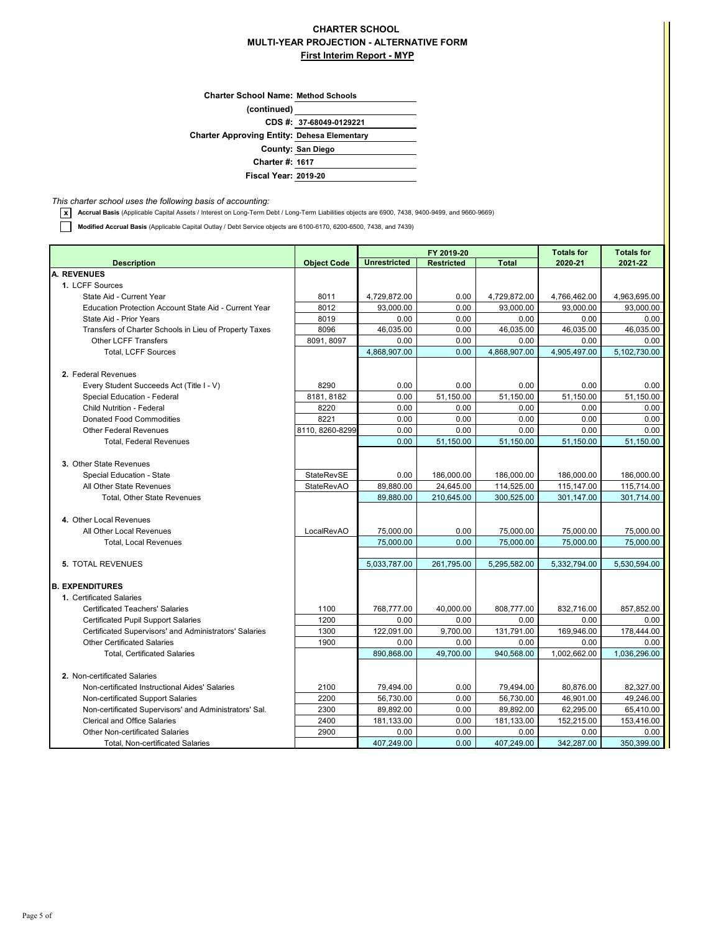## **CHARTER SCHOOL MULTI-YEAR PROJECTION - ALTERNATIVE FORM First Interim Report - MYP**

| <b>Charter School Name: Method Schools</b>         |                         |
|----------------------------------------------------|-------------------------|
| (continued)                                        |                         |
|                                                    | CDS #: 37-68049-0129221 |
| <b>Charter Approving Entity: Dehesa Elementary</b> |                         |
|                                                    | County: San Diego       |
| <b>Charter #: 1617</b>                             |                         |
| <b>Fiscal Year: 2019-20</b>                        |                         |
|                                                    |                         |

*This charter school uses the following basis of accounting:*

**x Accrual Basis** (Applicable Capital Assets / Interest on Long-Term Debt / Long-Term Liabilities objects are 6900, 7438, 9400-9499, and 9660-9669)

**Modified Accrual Basis** (Applicable Capital Outlay / Debt Service objects are 6100-6170, 6200-6500, 7438, and 7439)

|                                                        |                    |                     | FY 2019-20        | <b>Totals for</b> | <b>Totals for</b> |              |
|--------------------------------------------------------|--------------------|---------------------|-------------------|-------------------|-------------------|--------------|
| <b>Description</b>                                     | <b>Object Code</b> | <b>Unrestricted</b> | <b>Restricted</b> | <b>Total</b>      | 2020-21           | 2021-22      |
| A. REVENUES                                            |                    |                     |                   |                   |                   |              |
| 1. LCFF Sources                                        |                    |                     |                   |                   |                   |              |
| State Aid - Current Year                               | 8011               | 4,729,872.00        | 0.00              | 4,729,872.00      | 4,766,462.00      | 4,963,695.00 |
| Education Protection Account State Aid - Current Year  | 8012               | 93.000.00           | 0.00              | 93,000.00         | 93,000.00         | 93,000.00    |
| State Aid - Prior Years                                | 8019               | 0.00                | 0.00              | 0.00              | 0.00              | 0.00         |
| Transfers of Charter Schools in Lieu of Property Taxes | 8096               | 46,035.00           | 0.00              | 46,035.00         | 46,035.00         | 46,035.00    |
| <b>Other LCFF Transfers</b>                            | 8091, 8097         | 0.00                | 0.00              | 0.00              | 0.00              | 0.00         |
| <b>Total, LCFF Sources</b>                             |                    | 4,868,907.00        | 0.00              | 4,868,907.00      | 4,905,497.00      | 5,102,730.00 |
| 2. Federal Revenues                                    |                    |                     |                   |                   |                   |              |
| Every Student Succeeds Act (Title I - V)               | 8290               | 0.00                | 0.00              | 0.00              | 0.00              | 0.00         |
| Special Education - Federal                            | 8181, 8182         | 0.00                | 51.150.00         | 51.150.00         | 51,150.00         | 51.150.00    |
| <b>Child Nutrition - Federal</b>                       | 8220               | 0.00                | 0.00              | 0.00              | 0.00              | 0.00         |
| <b>Donated Food Commodities</b>                        | 8221               | 0.00                | 0.00              | 0.00              | 0.00              | 0.00         |
| <b>Other Federal Revenues</b>                          | 8110, 8260-8299    | 0.00                | 0.00              | 0.00              | 0.00              | 0.00         |
| <b>Total, Federal Revenues</b>                         |                    | 0.00                | 51,150.00         | 51,150.00         | 51,150.00         | 51,150.00    |
|                                                        |                    |                     |                   |                   |                   |              |
| 3. Other State Revenues                                |                    |                     |                   |                   |                   |              |
| Special Education - State                              | StateRevSE         | 0.00                | 186,000.00        | 186,000.00        | 186,000.00        | 186,000.00   |
| All Other State Revenues                               | <b>StateRevAO</b>  | 89,880.00           | 24,645.00         | 114,525.00        | 115,147.00        | 115,714.00   |
| Total, Other State Revenues                            |                    | 89,880.00           | 210,645.00        | 300,525.00        | 301,147.00        | 301,714.00   |
|                                                        |                    |                     |                   |                   |                   |              |
| 4. Other Local Revenues                                |                    |                     |                   |                   |                   |              |
| All Other Local Revenues                               | LocalRevAO         | 75,000.00           | 0.00              | 75,000.00         | 75,000.00         | 75,000.00    |
| <b>Total, Local Revenues</b>                           |                    | 75,000.00           | 0.00              | 75,000.00         | 75,000.00         | 75,000.00    |
|                                                        |                    |                     |                   |                   |                   |              |
| 5. TOTAL REVENUES                                      |                    | 5,033,787.00        | 261,795.00        | 5,295,582.00      | 5,332,794.00      | 5,530,594.00 |
| <b>B. EXPENDITURES</b>                                 |                    |                     |                   |                   |                   |              |
| 1. Certificated Salaries                               |                    |                     |                   |                   |                   |              |
| <b>Certificated Teachers' Salaries</b>                 | 1100               | 768,777.00          | 40,000.00         | 808,777.00        | 832,716.00        | 857,852.00   |
| <b>Certificated Pupil Support Salaries</b>             | 1200               | 0.00                | 0.00              | 0.00              | 0.00              | 0.00         |
| Certificated Supervisors' and Administrators' Salaries | 1300               | 122,091.00          | 9,700.00          | 131,791.00        | 169,946.00        | 178,444.00   |
| <b>Other Certificated Salaries</b>                     | 1900               | 0.00                | 0.00              | 0.00              | 0.00              | 0.00         |
| <b>Total, Certificated Salaries</b>                    |                    | 890,868.00          | 49,700.00         | 940.568.00        | 1,002,662.00      | 1,036,296.00 |
|                                                        |                    |                     |                   |                   |                   |              |
| 2. Non-certificated Salaries                           |                    |                     |                   |                   |                   |              |
| Non-certificated Instructional Aides' Salaries         | 2100               | 79,494.00           | 0.00              | 79,494.00         | 80,876.00         | 82,327.00    |
| Non-certificated Support Salaries                      | 2200               | 56,730.00           | 0.00              | 56,730.00         | 46,901.00         | 49,246.00    |
| Non-certificated Supervisors' and Administrators' Sal. | 2300               | 89,892.00           | 0.00              | 89,892.00         | 62,295.00         | 65,410.00    |
| <b>Clerical and Office Salaries</b>                    | 2400               | 181,133.00          | 0.00              | 181,133.00        | 152,215.00        | 153,416.00   |
| <b>Other Non-certificated Salaries</b>                 | 2900               | 0.00                | 0.00              | 0.00              | 0.00              | 0.00         |
| <b>Total, Non-certificated Salaries</b>                |                    | 407,249.00          | 0.00              | 407,249.00        | 342,287.00        | 350,399.00   |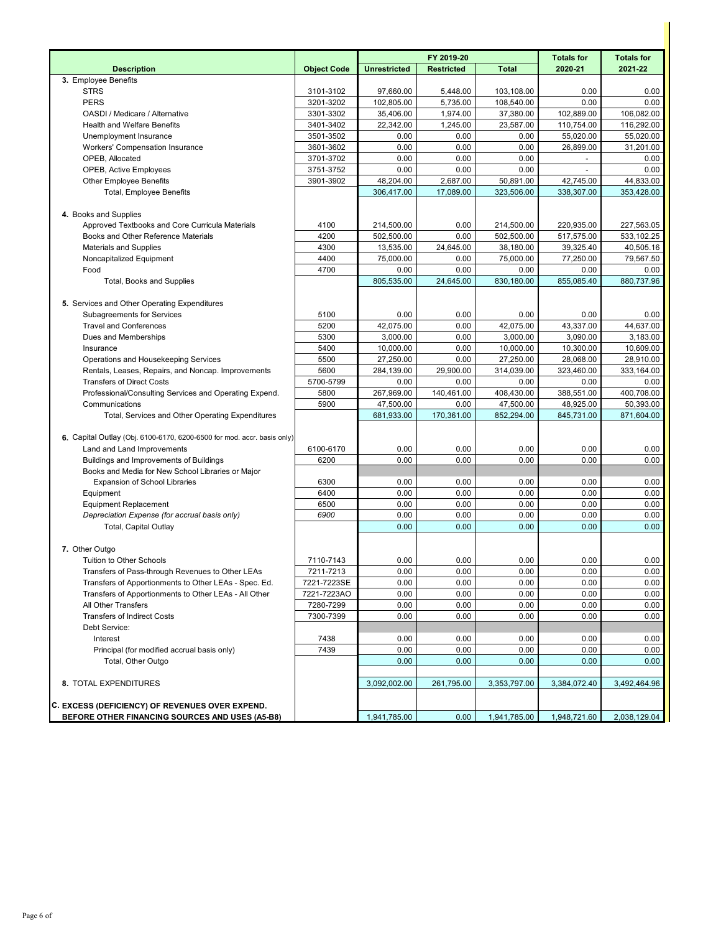|                                                                         |                    |                     | FY 2019-20        | <b>Totals for</b> | <b>Totals for</b> |              |
|-------------------------------------------------------------------------|--------------------|---------------------|-------------------|-------------------|-------------------|--------------|
| <b>Description</b>                                                      | <b>Object Code</b> | <b>Unrestricted</b> | <b>Restricted</b> | <b>Total</b>      | 2020-21           | 2021-22      |
| 3. Employee Benefits                                                    |                    |                     |                   |                   |                   |              |
| <b>STRS</b>                                                             | 3101-3102          | 97,660.00           | 5,448.00          | 103,108.00        | 0.00              | 0.00         |
| <b>PERS</b>                                                             | 3201-3202          | 102,805.00          | 5,735.00          | 108,540.00        | 0.00              | 0.00         |
| OASDI / Medicare / Alternative                                          | 3301-3302          | 35,406.00           | 1,974.00          | 37,380.00         | 102,889.00        | 106,082.00   |
| <b>Health and Welfare Benefits</b>                                      | 3401-3402          | 22,342.00           | 1,245.00          | 23,587.00         | 110,754.00        | 116,292.00   |
| Unemployment Insurance                                                  | 3501-3502          | 0.00                | 0.00              | 0.00              | 55,020.00         | 55,020.00    |
| Workers' Compensation Insurance                                         | 3601-3602          | 0.00                | 0.00              | 0.00              | 26,899.00         | 31,201.00    |
| OPEB, Allocated                                                         | 3701-3702          | 0.00                | 0.00              | 0.00              |                   | 0.00         |
| <b>OPEB, Active Employees</b>                                           | 3751-3752          | 0.00                | 0.00              | 0.00              | ÷,                | 0.00         |
| <b>Other Employee Benefits</b>                                          | 3901-3902          | 48,204.00           | 2,687.00          | 50,891.00         | 42,745.00         | 44,833.00    |
| <b>Total, Employee Benefits</b>                                         |                    | 306,417.00          | 17,089.00         | 323,506.00        | 338,307.00        | 353,428.00   |
|                                                                         |                    |                     |                   |                   |                   |              |
| 4. Books and Supplies                                                   |                    |                     |                   |                   |                   |              |
| Approved Textbooks and Core Curricula Materials                         | 4100               | 214,500.00          | 0.00              | 214,500.00        | 220,935.00        | 227,563.05   |
| Books and Other Reference Materials                                     | 4200               | 502,500.00          | 0.00              | 502,500.00        | 517,575.00        | 533,102.25   |
| <b>Materials and Supplies</b>                                           | 4300               | 13,535.00           | 24,645.00         | 38,180.00         | 39,325.40         | 40,505.16    |
| Noncapitalized Equipment                                                | 4400               | 75,000.00           | 0.00              | 75,000.00         | 77,250.00         | 79,567.50    |
| Food                                                                    | 4700               | 0.00                | 0.00              | 0.00              | 0.00              | 0.00         |
| Total, Books and Supplies                                               |                    | 805,535.00          | 24,645.00         | 830,180.00        | 855,085.40        | 880,737.96   |
|                                                                         |                    |                     |                   |                   |                   |              |
| 5. Services and Other Operating Expenditures                            |                    |                     |                   |                   |                   |              |
| <b>Subagreements for Services</b>                                       | 5100               | 0.00                | 0.00              | 0.00              | 0.00              | 0.00         |
| <b>Travel and Conferences</b>                                           | 5200               | 42,075.00           | 0.00              | 42,075.00         | 43.337.00         | 44,637.00    |
| Dues and Memberships                                                    | 5300               | 3,000.00            | 0.00              | 3,000.00          | 3,090.00          | 3,183.00     |
| Insurance                                                               | 5400               | 10,000.00           | 0.00              | 10,000.00         | 10,300.00         | 10,609.00    |
| Operations and Housekeeping Services                                    | 5500               | 27,250.00           | 0.00              | 27,250.00         | 28,068.00         | 28,910.00    |
| Rentals, Leases, Repairs, and Noncap. Improvements                      | 5600               | 284,139.00          | 29,900.00         | 314,039.00        | 323,460.00        | 333,164.00   |
| <b>Transfers of Direct Costs</b>                                        | 5700-5799          | 0.00                | 0.00              | 0.00              | 0.00              | 0.00         |
| Professional/Consulting Services and Operating Expend.                  | 5800               | 267,969.00          | 140,461.00        | 408,430.00        | 388,551.00        | 400,708.00   |
| Communications                                                          | 5900               | 47,500.00           | 0.00              | 47,500.00         | 48,925.00         | 50,393.00    |
| Total, Services and Other Operating Expenditures                        |                    | 681,933.00          | 170,361.00        | 852,294.00        | 845,731.00        | 871,604.00   |
|                                                                         |                    |                     |                   |                   |                   |              |
| 6. Capital Outlay (Obj. 6100-6170, 6200-6500 for mod. accr. basis only) |                    |                     |                   |                   |                   |              |
| Land and Land Improvements                                              | 6100-6170          | 0.00                | 0.00              | 0.00              | 0.00              | 0.00         |
| Buildings and Improvements of Buildings                                 | 6200               | 0.00                | 0.00              | 0.00              | 0.00              | 0.00         |
| Books and Media for New School Libraries or Major                       |                    |                     |                   |                   |                   |              |
| <b>Expansion of School Libraries</b>                                    | 6300               | 0.00                | 0.00              | 0.00              | 0.00              | 0.00         |
| Equipment                                                               | 6400               | 0.00                | 0.00              | 0.00              | 0.00              | 0.00         |
| <b>Equipment Replacement</b>                                            | 6500               | 0.00                | 0.00              | 0.00              | 0.00              | 0.00         |
| Depreciation Expense (for accrual basis only)                           | 6900               | 0.00                | 0.00              | 0.00              | 0.00              | 0.00         |
| Total, Capital Outlay                                                   |                    | 0.00                | 0.00              | 0.00              | 0.00              | 0.00         |
|                                                                         |                    |                     |                   |                   |                   |              |
| 7. Other Outgo                                                          |                    |                     |                   |                   |                   |              |
| Tuition to Other Schools                                                | 7110-7143          | 0.00                | 0.00              | 0.00              | 0.00              | 0.00         |
| Transfers of Pass-through Revenues to Other LEAs                        | 7211-7213          | 0.00                | 0.00              | 0.00              | 0.00              | 0.00         |
| Transfers of Apportionments to Other LEAs - Spec. Ed.                   | 7221-7223SE        | 0.00                | 0.00              | 0.00              | 0.00              | 0.00         |
| Transfers of Apportionments to Other LEAs - All Other                   | 7221-7223AO        | 0.00                | 0.00              | 0.00              | 0.00              | 0.00         |
| All Other Transfers                                                     | 7280-7299          | 0.00                | 0.00              | 0.00              | 0.00              | 0.00         |
| <b>Transfers of Indirect Costs</b>                                      | 7300-7399          | 0.00                | 0.00              | 0.00              | 0.00              | 0.00         |
| Debt Service:                                                           |                    |                     |                   |                   |                   |              |
| Interest                                                                | 7438               | 0.00                | 0.00              | 0.00              | 0.00              | 0.00         |
| Principal (for modified accrual basis only)                             | 7439               | 0.00                | 0.00              | 0.00              | 0.00              | 0.00         |
| Total, Other Outgo                                                      |                    | 0.00                | 0.00              | 0.00              | 0.00              | 0.00         |
|                                                                         |                    |                     |                   |                   |                   |              |
| 8. TOTAL EXPENDITURES                                                   |                    | 3,092,002.00        | 261,795.00        | 3,353,797.00      | 3,384,072.40      | 3,492,464.96 |
|                                                                         |                    |                     |                   |                   |                   |              |
| C. EXCESS (DEFICIENCY) OF REVENUES OVER EXPEND.                         |                    |                     |                   |                   |                   |              |
| BEFORE OTHER FINANCING SOURCES AND USES (A5-B8)                         |                    | 1,941,785.00        | 0.00              | 1,941,785.00      | 1,948,721.60      | 2,038,129.04 |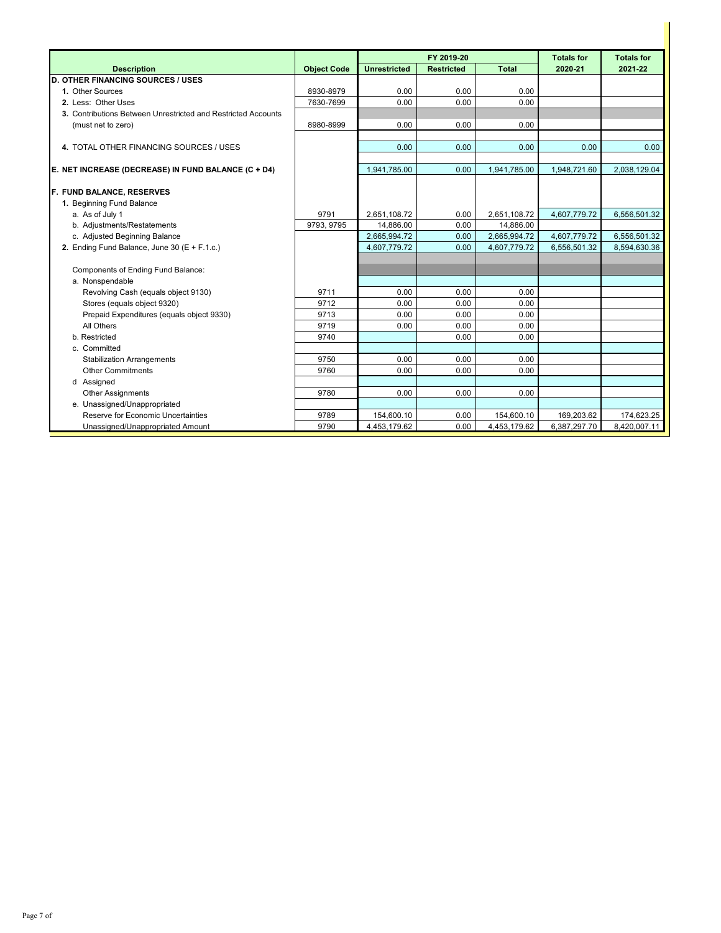|                                                               |                    |                     | FY 2019-20        | <b>Totals for</b> | <b>Totals for</b> |              |
|---------------------------------------------------------------|--------------------|---------------------|-------------------|-------------------|-------------------|--------------|
| <b>Description</b>                                            | <b>Object Code</b> | <b>Unrestricted</b> | <b>Restricted</b> | <b>Total</b>      | 2020-21           | 2021-22      |
| <b>D. OTHER FINANCING SOURCES / USES</b>                      |                    |                     |                   |                   |                   |              |
| 1. Other Sources                                              | 8930-8979          | 0.00                | 0.00              | 0.00              |                   |              |
| 2. Less: Other Uses                                           | 7630-7699          | 0.00                | 0.00              | 0.00              |                   |              |
| 3. Contributions Between Unrestricted and Restricted Accounts |                    |                     |                   |                   |                   |              |
| (must net to zero)                                            | 8980-8999          | 0.00                | 0.00              | 0.00              |                   |              |
|                                                               |                    |                     |                   |                   |                   |              |
| 4. TOTAL OTHER FINANCING SOURCES / USES                       |                    | 0.00                | 0.00              | 0.00              | 0.00              | 0.00         |
|                                                               |                    |                     |                   |                   |                   |              |
| E. NET INCREASE (DECREASE) IN FUND BALANCE (C + D4)           |                    | 1.941.785.00        | 0.00              | 1,941,785.00      | 1,948,721.60      | 2,038,129.04 |
| F. FUND BALANCE, RESERVES                                     |                    |                     |                   |                   |                   |              |
| 1. Beginning Fund Balance                                     |                    |                     |                   |                   |                   |              |
| a. As of July 1                                               | 9791               | 2.651.108.72        | 0.00              | 2.651.108.72      | 4,607,779.72      | 6,556,501.32 |
| b. Adjustments/Restatements                                   | 9793.9795          | 14.886.00           | 0.00              | 14.886.00         |                   |              |
| c. Adjusted Beginning Balance                                 |                    | 2,665,994.72        | 0.00              | 2,665,994.72      | 4,607,779.72      | 6,556,501.32 |
| 2. Ending Fund Balance, June 30 (E + F.1.c.)                  |                    | 4,607,779.72        | 0.00              | 4,607,779.72      | 6,556,501.32      | 8,594,630.36 |
|                                                               |                    |                     |                   |                   |                   |              |
| Components of Ending Fund Balance:                            |                    |                     |                   |                   |                   |              |
| a. Nonspendable                                               |                    |                     |                   |                   |                   |              |
| Revolving Cash (equals object 9130)                           | 9711               | 0.00                | 0.00              | 0.00              |                   |              |
| Stores (equals object 9320)                                   | 9712               | 0.00                | 0.00              | 0.00              |                   |              |
| Prepaid Expenditures (equals object 9330)                     | 9713               | 0.00                | 0.00              | 0.00              |                   |              |
| All Others                                                    | 9719               | 0.00                | 0.00              | 0.00              |                   |              |
| b. Restricted                                                 | 9740               |                     | 0.00              | 0.00              |                   |              |
| c. Committed                                                  |                    |                     |                   |                   |                   |              |
| <b>Stabilization Arrangements</b>                             | 9750               | 0.00                | 0.00              | 0.00              |                   |              |
| <b>Other Commitments</b>                                      | 9760               | 0.00                | 0.00              | 0.00              |                   |              |
| d Assigned                                                    |                    |                     |                   |                   |                   |              |
| <b>Other Assignments</b>                                      | 9780               | 0.00                | 0.00              | 0.00              |                   |              |
| e. Unassigned/Unappropriated                                  |                    |                     |                   |                   |                   |              |
| Reserve for Economic Uncertainties                            | 9789               | 154,600.10          | 0.00              | 154,600.10        | 169,203.62        | 174,623.25   |
| Unassigned/Unappropriated Amount                              | 9790               | 4,453,179.62        | 0.00              | 4,453,179.62      | 6,387,297.70      | 8,420,007.11 |